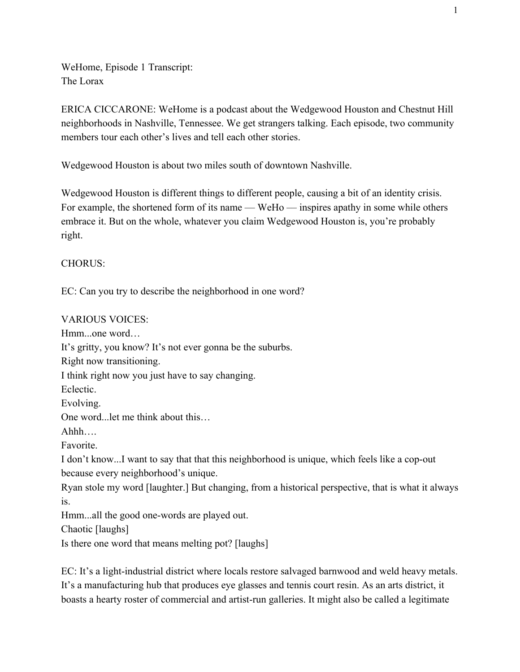WeHome, Episode 1 Transcript: The Lorax

ERICA CICCARONE: WeHome is a podcast about the Wedgewood Houston and Chestnut Hill neighborhoods in Nashville, Tennessee. We get strangers talking. Each episode, two community members tour each other's lives and tell each other stories.

Wedgewood Houston is about two miles south of downtown Nashville.

Wedgewood Houston is different things to different people, causing a bit of an identity crisis. For example, the shortened form of its name — WeHo — inspires apathy in some while others embrace it. But on the whole, whatever you claim Wedgewood Houston is, you're probably right.

CHORUS:

EC: Can you try to describe the neighborhood in one word?

## VARIOUS VOICES:

Hmm...one word… It's gritty, you know? It's not ever gonna be the suburbs. Right now transitioning. I think right now you just have to say changing. Eclectic. Evolving. One word...let me think about this… Ahhh…. Favorite. I don't know...I want to say that that this neighborhood is unique, which feels like a cop-out because every neighborhood's unique. Ryan stole my word [laughter.] But changing, from a historical perspective, that is what it always is. Hmm...all the good one-words are played out. Chaotic [laughs] Is there one word that means melting pot? [laughs]

EC: It's a light-industrial district where locals restore salvaged barnwood and weld heavy metals. It's a manufacturing hub that produces eye glasses and tennis court resin. As an arts district, it boasts a hearty roster of commercial and artist-run galleries. It might also be called a legitimate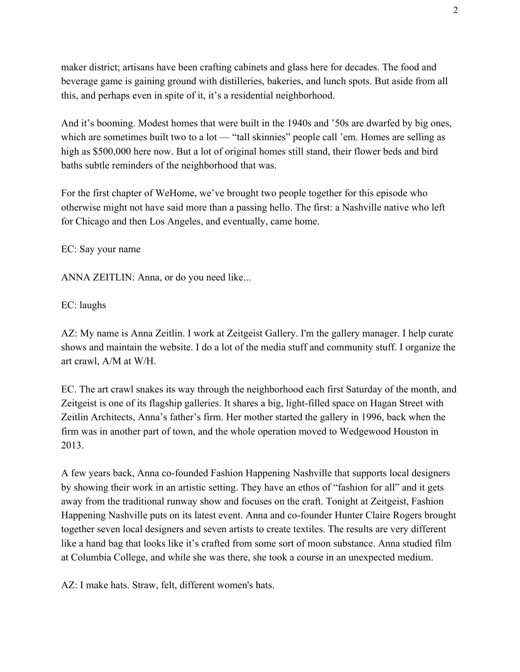maker district; artisans have been crafting cabinets and glass here for decades. The food and beverage game is gaining ground with distilleries, bakeries, and lunch spots. But aside from all this, and perhaps even in spite of it, it's a residential neighborhood.

And it's booming. Modest homes that were built in the 1940s and '50s are dwarfed by big ones, which are sometimes built two to a lot — "tall skinnies" people call 'em. Homes are selling as high as \$500,000 here now. But a lot of original homes still stand, their flower beds and bird baths subtle reminders of the neighborhood that was.

For the first chapter of WeHome, we've brought two people together for this episode who otherwise might not have said more than a passing hello. The first: a Nashville native who left for Chicago and then Los Angeles, and eventually, came home.

EC: Say your name

ANNA ZEITLIN: Anna, or do you need like...

EC: laughs

AZ: My name is Anna Zeitlin. I work at Zeitgeist Gallery. I'm the gallery manager. I help curate shows and maintain the website. I do a lot of the media stuff and community stuff. I organize the art crawl, A/M at W/H.

EC. The art crawl snakes its way through the neighborhood each first Saturday of the month, and Zeitgeist is one of its flagship galleries. It shares a big, light-filled space on Hagan Street with Zeitlin Architects, Anna's father's firm. Her mother started the gallery in 1996, back when the firm was in another part of town, and the whole operation moved to Wedgewood Houston in 2013.

A few years back, Anna co-founded Fashion Happening Nashville that supports local designers by showing their work in an artistic setting. They have an ethos of "fashion for all" and it gets away from the traditional runway show and focuses on the craft. Tonight at Zeitgeist, Fashion Happening Nashville puts on its latest event. Anna and co-founder Hunter Claire Rogers brought together seven local designers and seven artists to create textiles. The results are very different like a hand bag that looks like it's crafted from some sort of moon substance. Anna studied film at Columbia College, and while she was there, she took a course in an unexpected medium.

AZ: I make hats. Straw, felt, different women's hats.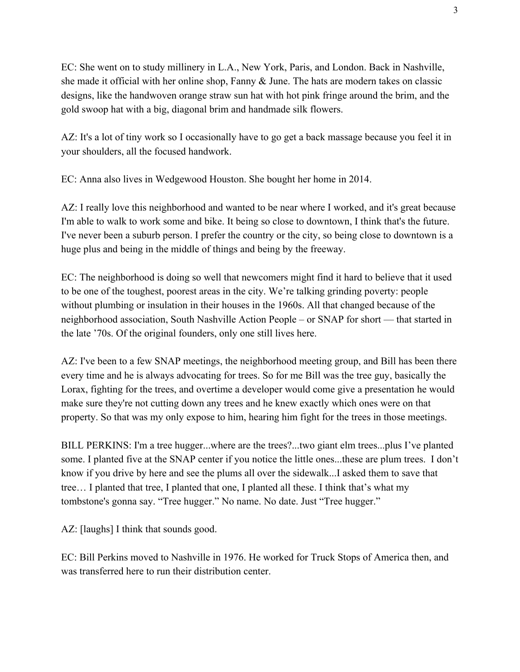EC: She went on to study millinery in L.A., New York, Paris, and London. Back in Nashville, she made it official with her online shop, Fanny & June. The hats are modern takes on classic designs, like the handwoven orange straw sun hat with hot pink fringe around the brim, and the gold swoop hat with a big, diagonal brim and handmade silk flowers.

AZ: It's a lot of tiny work so I occasionally have to go get a back massage because you feel it in your shoulders, all the focused handwork.

EC: Anna also lives in Wedgewood Houston. She bought her home in 2014.

AZ: I really love this neighborhood and wanted to be near where I worked, and it's great because I'm able to walk to work some and bike. It being so close to downtown, I think that's the future. I've never been a suburb person. I prefer the country or the city, so being close to downtown is a huge plus and being in the middle of things and being by the freeway.

EC: The neighborhood is doing so well that newcomers might find it hard to believe that it used to be one of the toughest, poorest areas in the city. We're talking grinding poverty: people without plumbing or insulation in their houses in the 1960s. All that changed because of the neighborhood association, South Nashville Action People – or SNAP for short –– that started in the late '70s. Of the original founders, only one still lives here.

AZ: I've been to a few SNAP meetings, the neighborhood meeting group, and Bill has been there every time and he is always advocating for trees. So for me Bill was the tree guy, basically the Lorax, fighting for the trees, and overtime a developer would come give a presentation he would make sure they're not cutting down any trees and he knew exactly which ones were on that property. So that was my only expose to him, hearing him fight for the trees in those meetings.

BILL PERKINS: I'm a tree hugger...where are the trees?...two giant elm trees...plus I've planted some. I planted five at the SNAP center if you notice the little ones...these are plum trees. I don't know if you drive by here and see the plums all over the sidewalk...I asked them to save that tree… I planted that tree, I planted that one, I planted all these. I think that's what my tombstone's gonna say. "Tree hugger." No name. No date. Just "Tree hugger."

AZ: [laughs] I think that sounds good.

EC: Bill Perkins moved to Nashville in 1976. He worked for Truck Stops of America then, and was transferred here to run their distribution center.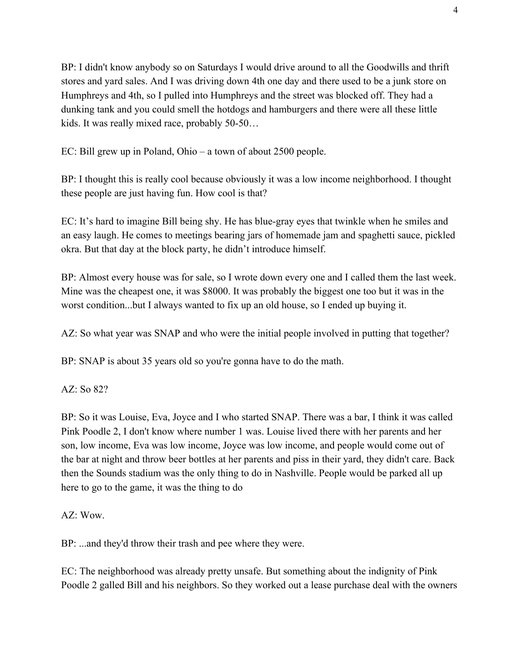BP: I didn't know anybody so on Saturdays I would drive around to all the Goodwills and thrift stores and yard sales. And I was driving down 4th one day and there used to be a junk store on Humphreys and 4th, so I pulled into Humphreys and the street was blocked off. They had a dunking tank and you could smell the hotdogs and hamburgers and there were all these little kids. It was really mixed race, probably 50-50…

EC: Bill grew up in Poland, Ohio – a town of about 2500 people.

BP: I thought this is really cool because obviously it was a low income neighborhood. I thought these people are just having fun. How cool is that?

EC: It's hard to imagine Bill being shy. He has blue-gray eyes that twinkle when he smiles and an easy laugh. He comes to meetings bearing jars of homemade jam and spaghetti sauce, pickled okra. But that day at the block party, he didn't introduce himself.

BP: Almost every house was for sale, so I wrote down every one and I called them the last week. Mine was the cheapest one, it was \$8000. It was probably the biggest one too but it was in the worst condition...but I always wanted to fix up an old house, so I ended up buying it.

AZ: So what year was SNAP and who were the initial people involved in putting that together?

BP: SNAP is about 35 years old so you're gonna have to do the math.

AZ: So 82?

BP: So it was Louise, Eva, Joyce and I who started SNAP. There was a bar, I think it was called Pink Poodle 2, I don't know where number 1 was. Louise lived there with her parents and her son, low income, Eva was low income, Joyce was low income, and people would come out of the bar at night and throw beer bottles at her parents and piss in their yard, they didn't care. Back then the Sounds stadium was the only thing to do in Nashville. People would be parked all up here to go to the game, it was the thing to do

 $AZ: Wow$ 

BP: ...and they'd throw their trash and pee where they were.

EC: The neighborhood was already pretty unsafe. But something about the indignity of Pink Poodle 2 galled Bill and his neighbors. So they worked out a lease purchase deal with the owners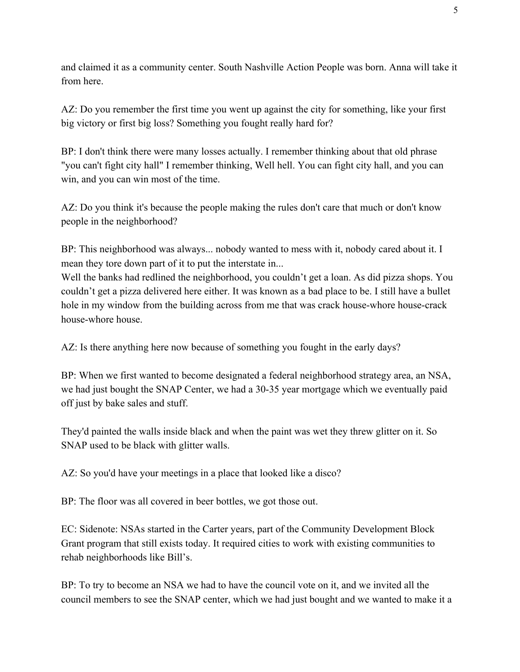and claimed it as a community center. South Nashville Action People was born. Anna will take it from here.

AZ: Do you remember the first time you went up against the city for something, like your first big victory or first big loss? Something you fought really hard for?

BP: I don't think there were many losses actually. I remember thinking about that old phrase "you can't fight city hall" I remember thinking, Well hell. You can fight city hall, and you can win, and you can win most of the time.

AZ: Do you think it's because the people making the rules don't care that much or don't know people in the neighborhood?

BP: This neighborhood was always... nobody wanted to mess with it, nobody cared about it. I mean they tore down part of it to put the interstate in...

Well the banks had redlined the neighborhood, you couldn't get a loan. As did pizza shops. You couldn't get a pizza delivered here either. It was known as a bad place to be. I still have a bullet hole in my window from the building across from me that was crack house-whore house-crack house-whore house.

AZ: Is there anything here now because of something you fought in the early days?

BP: When we first wanted to become designated a federal neighborhood strategy area, an NSA, we had just bought the SNAP Center, we had a 30-35 year mortgage which we eventually paid off just by bake sales and stuff.

They'd painted the walls inside black and when the paint was wet they threw glitter on it. So SNAP used to be black with glitter walls.

AZ: So you'd have your meetings in a place that looked like a disco?

BP: The floor was all covered in beer bottles, we got those out.

EC: Sidenote: NSAs started in the Carter years, part of the Community Development Block Grant program that still exists today. It required cities to work with existing communities to rehab neighborhoods like Bill's.

BP: To try to become an NSA we had to have the council vote on it, and we invited all the council members to see the SNAP center, which we had just bought and we wanted to make it a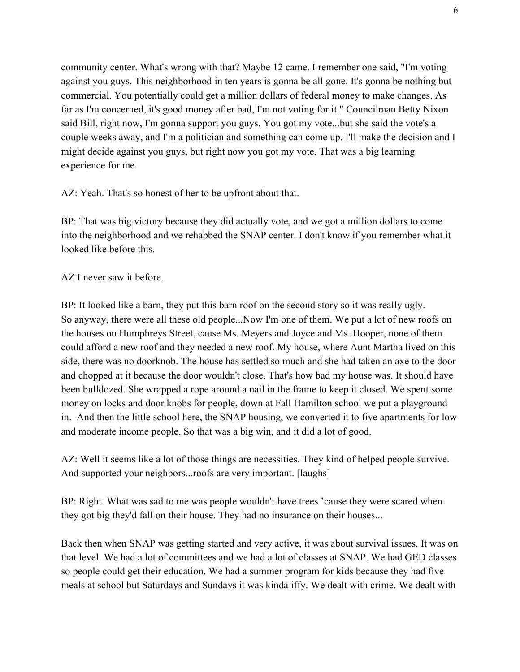community center. What's wrong with that? Maybe 12 came. I remember one said, "I'm voting against you guys. This neighborhood in ten years is gonna be all gone. It's gonna be nothing but commercial. You potentially could get a million dollars of federal money to make changes. As far as I'm concerned, it's good money after bad, I'm not voting for it." Councilman Betty Nixon said Bill, right now, I'm gonna support you guys. You got my vote...but she said the vote's a couple weeks away, and I'm a politician and something can come up. I'll make the decision and I might decide against you guys, but right now you got my vote. That was a big learning experience for me.

AZ: Yeah. That's so honest of her to be upfront about that.

BP: That was big victory because they did actually vote, and we got a million dollars to come into the neighborhood and we rehabbed the SNAP center. I don't know if you remember what it looked like before this.

## AZ I never saw it before.

BP: It looked like a barn, they put this barn roof on the second story so it was really ugly. So anyway, there were all these old people...Now I'm one of them. We put a lot of new roofs on the houses on Humphreys Street, cause Ms. Meyers and Joyce and Ms. Hooper, none of them could afford a new roof and they needed a new roof. My house, where Aunt Martha lived on this side, there was no doorknob. The house has settled so much and she had taken an axe to the door and chopped at it because the door wouldn't close. That's how bad my house was. It should have been bulldozed. She wrapped a rope around a nail in the frame to keep it closed. We spent some money on locks and door knobs for people, down at Fall Hamilton school we put a playground in. And then the little school here, the SNAP housing, we converted it to five apartments for low and moderate income people. So that was a big win, and it did a lot of good.

AZ: Well it seems like a lot of those things are necessities. They kind of helped people survive. And supported your neighbors...roofs are very important. [laughs]

BP: Right. What was sad to me was people wouldn't have trees 'cause they were scared when they got big they'd fall on their house. They had no insurance on their houses...

Back then when SNAP was getting started and very active, it was about survival issues. It was on that level. We had a lot of committees and we had a lot of classes at SNAP. We had GED classes so people could get their education. We had a summer program for kids because they had five meals at school but Saturdays and Sundays it was kinda iffy. We dealt with crime. We dealt with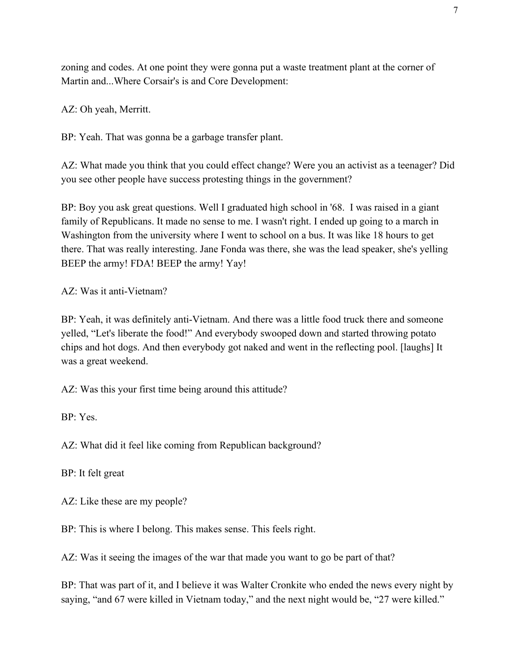zoning and codes. At one point they were gonna put a waste treatment plant at the corner of Martin and...Where Corsair's is and Core Development:

AZ: Oh yeah, Merritt.

BP: Yeah. That was gonna be a garbage transfer plant.

AZ: What made you think that you could effect change? Were you an activist as a teenager? Did you see other people have success protesting things in the government?

BP: Boy you ask great questions. Well I graduated high school in '68. I was raised in a giant family of Republicans. It made no sense to me. I wasn't right. I ended up going to a march in Washington from the university where I went to school on a bus. It was like 18 hours to get there. That was really interesting. Jane Fonda was there, she was the lead speaker, she's yelling BEEP the army! FDA! BEEP the army! Yay!

## AZ: Was it anti-Vietnam?

BP: Yeah, it was definitely anti-Vietnam. And there was a little food truck there and someone yelled, "Let's liberate the food!" And everybody swooped down and started throwing potato chips and hot dogs. And then everybody got naked and went in the reflecting pool. [laughs] It was a great weekend.

AZ: Was this your first time being around this attitude?

BP: Yes.

AZ: What did it feel like coming from Republican background?

BP: It felt great

AZ: Like these are my people?

BP: This is where I belong. This makes sense. This feels right.

AZ: Was it seeing the images of the war that made you want to go be part of that?

BP: That was part of it, and I believe it was Walter Cronkite who ended the news every night by saying, "and 67 were killed in Vietnam today," and the next night would be, "27 were killed."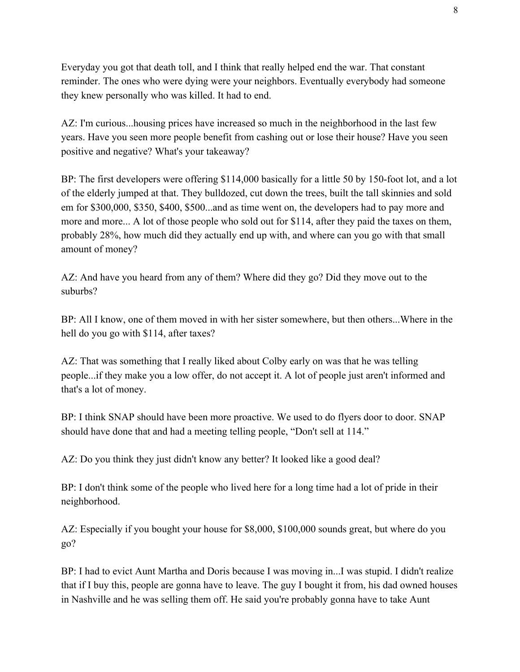Everyday you got that death toll, and I think that really helped end the war. That constant reminder. The ones who were dying were your neighbors. Eventually everybody had someone they knew personally who was killed. It had to end.

AZ: I'm curious...housing prices have increased so much in the neighborhood in the last few years. Have you seen more people benefit from cashing out or lose their house? Have you seen positive and negative? What's your takeaway?

BP: The first developers were offering \$114,000 basically for a little 50 by 150-foot lot, and a lot of the elderly jumped at that. They bulldozed, cut down the trees, built the tall skinnies and sold em for \$300,000, \$350, \$400, \$500...and as time went on, the developers had to pay more and more and more... A lot of those people who sold out for \$114, after they paid the taxes on them, probably 28%, how much did they actually end up with, and where can you go with that small amount of money?

AZ: And have you heard from any of them? Where did they go? Did they move out to the suburbs?

BP: All I know, one of them moved in with her sister somewhere, but then others...Where in the hell do you go with \$114, after taxes?

AZ: That was something that I really liked about Colby early on was that he was telling people...if they make you a low offer, do not accept it. A lot of people just aren't informed and that's a lot of money.

BP: I think SNAP should have been more proactive. We used to do flyers door to door. SNAP should have done that and had a meeting telling people, "Don't sell at 114."

AZ: Do you think they just didn't know any better? It looked like a good deal?

BP: I don't think some of the people who lived here for a long time had a lot of pride in their neighborhood.

AZ: Especially if you bought your house for \$8,000, \$100,000 sounds great, but where do you go?

BP: I had to evict Aunt Martha and Doris because I was moving in...I was stupid. I didn't realize that if I buy this, people are gonna have to leave. The guy I bought it from, his dad owned houses in Nashville and he was selling them off. He said you're probably gonna have to take Aunt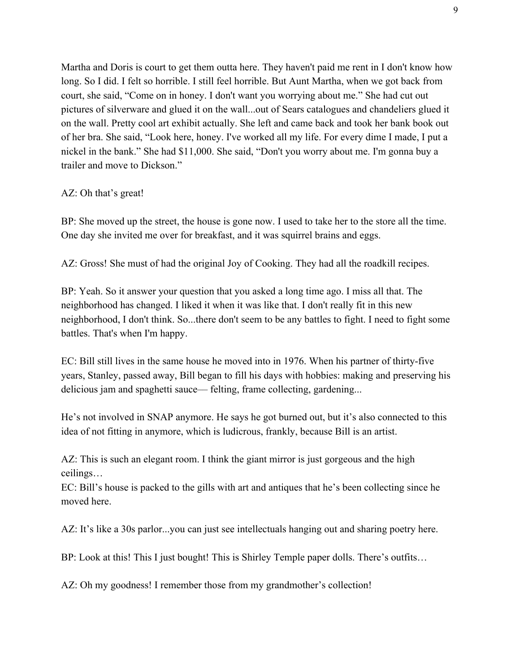Martha and Doris is court to get them outta here. They haven't paid me rent in I don't know how long. So I did. I felt so horrible. I still feel horrible. But Aunt Martha, when we got back from court, she said, "Come on in honey. I don't want you worrying about me." She had cut out pictures of silverware and glued it on the wall...out of Sears catalogues and chandeliers glued it on the wall. Pretty cool art exhibit actually. She left and came back and took her bank book out of her bra. She said, "Look here, honey. I've worked all my life. For every dime I made, I put a nickel in the bank." She had \$11,000. She said, "Don't you worry about me. I'm gonna buy a trailer and move to Dickson."

## AZ: Oh that's great!

BP: She moved up the street, the house is gone now. I used to take her to the store all the time. One day she invited me over for breakfast, and it was squirrel brains and eggs.

AZ: Gross! She must of had the original Joy of Cooking. They had all the roadkill recipes.

BP: Yeah. So it answer your question that you asked a long time ago. I miss all that. The neighborhood has changed. I liked it when it was like that. I don't really fit in this new neighborhood, I don't think. So...there don't seem to be any battles to fight. I need to fight some battles. That's when I'm happy.

EC: Bill still lives in the same house he moved into in 1976. When his partner of thirty-five years, Stanley, passed away, Bill began to fill his days with hobbies: making and preserving his delicious jam and spaghetti sauce—felting, frame collecting, gardening...

He's not involved in SNAP anymore. He says he got burned out, but it's also connected to this idea of not fitting in anymore, which is ludicrous, frankly, because Bill is an artist.

AZ: This is such an elegant room. I think the giant mirror is just gorgeous and the high ceilings…

EC: Bill's house is packed to the gills with art and antiques that he's been collecting since he moved here.

AZ: It's like a 30s parlor...you can just see intellectuals hanging out and sharing poetry here.

BP: Look at this! This I just bought! This is Shirley Temple paper dolls. There's outfits...

AZ: Oh my goodness! I remember those from my grandmother's collection!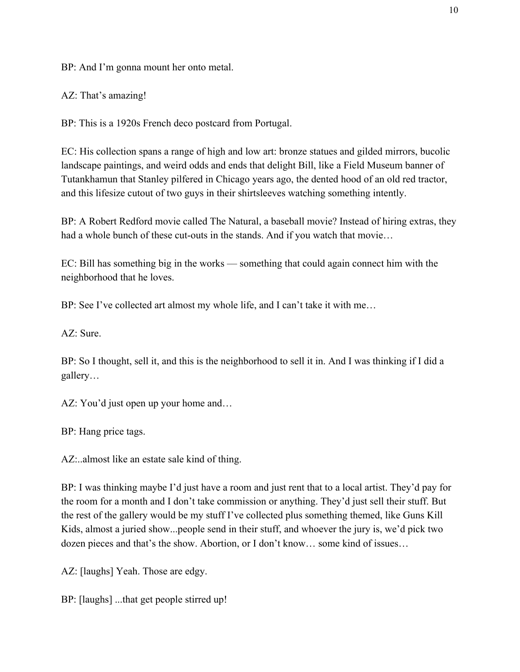BP: And I'm gonna mount her onto metal.

AZ: That's amazing!

BP: This is a 1920s French deco postcard from Portugal.

EC: His collection spans a range of high and low art: bronze statues and gilded mirrors, bucolic landscape paintings, and weird odds and ends that delight Bill, like a Field Museum banner of Tutankhamun that Stanley pilfered in Chicago years ago, the dented hood of an old red tractor, and this lifesize cutout of two guys in their shirtsleeves watching something intently.

BP: A Robert Redford movie called The Natural, a baseball movie? Instead of hiring extras, they had a whole bunch of these cut-outs in the stands. And if you watch that movie…

EC: Bill has something big in the works –– something that could again connect him with the neighborhood that he loves.

BP: See I've collected art almost my whole life, and I can't take it with me...

AZ: Sure.

BP: So I thought, sell it, and this is the neighborhood to sell it in. And I was thinking if I did a gallery…

AZ: You'd just open up your home and...

BP: Hang price tags.

AZ:..almost like an estate sale kind of thing.

BP: I was thinking maybe I'd just have a room and just rent that to a local artist. They'd pay for the room for a month and I don't take commission or anything. They'd just sell their stuff. But the rest of the gallery would be my stuff I've collected plus something themed, like Guns Kill Kids, almost a juried show...people send in their stuff, and whoever the jury is, we'd pick two dozen pieces and that's the show. Abortion, or I don't know… some kind of issues…

AZ: [laughs] Yeah. Those are edgy.

BP: [laughs] ...that get people stirred up!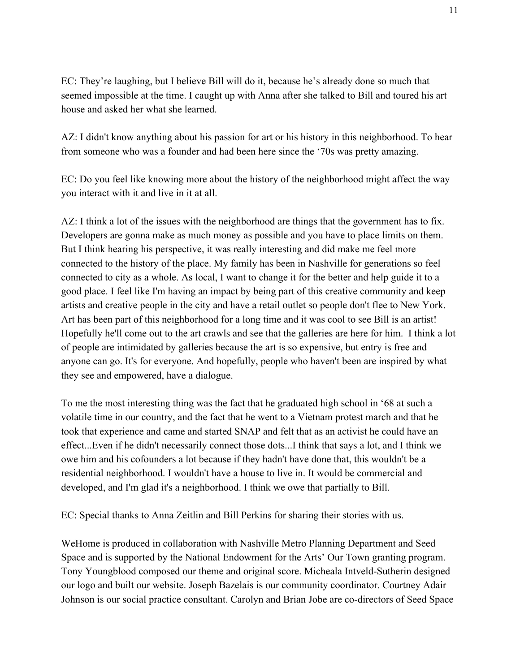EC: They're laughing, but I believe Bill will do it, because he's already done so much that seemed impossible at the time. I caught up with Anna after she talked to Bill and toured his art house and asked her what she learned.

AZ: I didn't know anything about his passion for art or his history in this neighborhood. To hear from someone who was a founder and had been here since the '70s was pretty amazing.

EC: Do you feel like knowing more about the history of the neighborhood might affect the way you interact with it and live in it at all.

AZ: I think a lot of the issues with the neighborhood are things that the government has to fix. Developers are gonna make as much money as possible and you have to place limits on them. But I think hearing his perspective, it was really interesting and did make me feel more connected to the history of the place. My family has been in Nashville for generations so feel connected to city as a whole. As local, I want to change it for the better and help guide it to a good place. I feel like I'm having an impact by being part of this creative community and keep artists and creative people in the city and have a retail outlet so people don't flee to New York. Art has been part of this neighborhood for a long time and it was cool to see Bill is an artist! Hopefully he'll come out to the art crawls and see that the galleries are here for him. I think a lot of people are intimidated by galleries because the art is so expensive, but entry is free and anyone can go. It's for everyone. And hopefully, people who haven't been are inspired by what they see and empowered, have a dialogue.

To me the most interesting thing was the fact that he graduated high school in '68 at such a volatile time in our country, and the fact that he went to a Vietnam protest march and that he took that experience and came and started SNAP and felt that as an activist he could have an effect...Even if he didn't necessarily connect those dots...I think that says a lot, and I think we owe him and his cofounders a lot because if they hadn't have done that, this wouldn't be a residential neighborhood. I wouldn't have a house to live in. It would be commercial and developed, and I'm glad it's a neighborhood. I think we owe that partially to Bill.

EC: Special thanks to Anna Zeitlin and Bill Perkins for sharing their stories with us.

WeHome is produced in collaboration with Nashville Metro Planning Department and Seed Space and is supported by the National Endowment for the Arts' Our Town granting program. Tony Youngblood composed our theme and original score. Micheala Intveld-Sutherin designed our logo and built our website. Joseph Bazelais is our community coordinator. Courtney Adair Johnson is our social practice consultant. Carolyn and Brian Jobe are co-directors of Seed Space